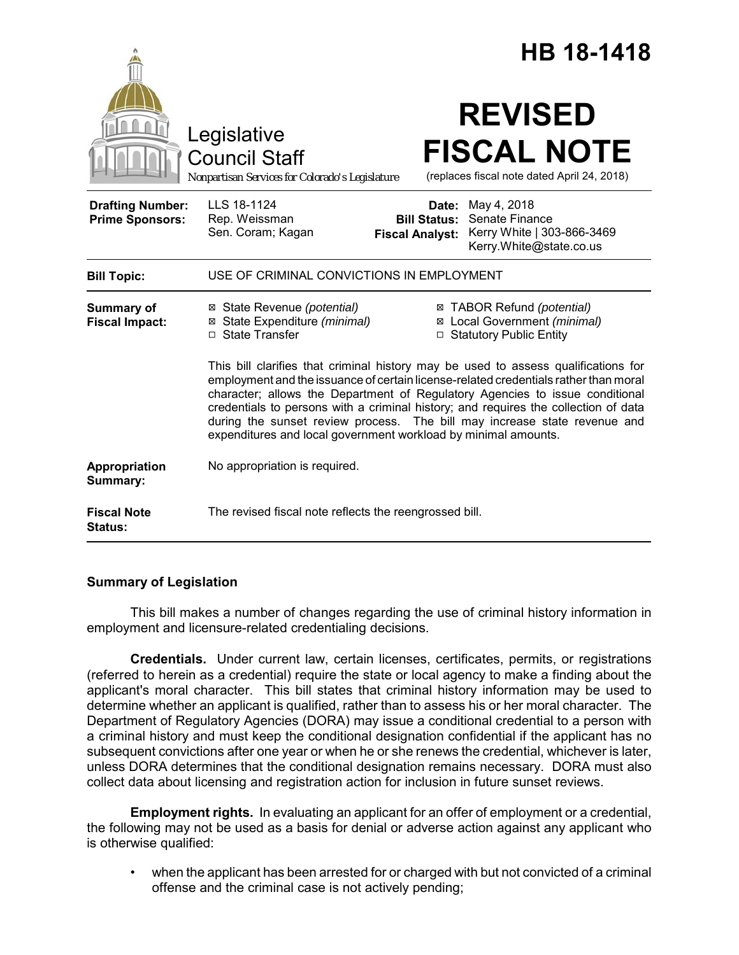|                                                   |                                                                                                                                                                                                                                                                                                                                                                                                                                                                                                  | <b>HB 18-1418</b>                                                                                                      |
|---------------------------------------------------|--------------------------------------------------------------------------------------------------------------------------------------------------------------------------------------------------------------------------------------------------------------------------------------------------------------------------------------------------------------------------------------------------------------------------------------------------------------------------------------------------|------------------------------------------------------------------------------------------------------------------------|
|                                                   | Legislative<br><b>Council Staff</b><br>Nonpartisan Services for Colorado's Legislature                                                                                                                                                                                                                                                                                                                                                                                                           | <b>REVISED</b><br><b>FISCAL NOTE</b><br>(replaces fiscal note dated April 24, 2018)                                    |
| <b>Drafting Number:</b><br><b>Prime Sponsors:</b> | LLS 18-1124<br>Rep. Weissman<br>Sen. Coram; Kagan<br><b>Fiscal Analyst:</b>                                                                                                                                                                                                                                                                                                                                                                                                                      | May 4, 2018<br>Date:<br>Senate Finance<br><b>Bill Status:</b><br>Kerry White   303-866-3469<br>Kerry.White@state.co.us |
| <b>Bill Topic:</b>                                | USE OF CRIMINAL CONVICTIONS IN EMPLOYMENT                                                                                                                                                                                                                                                                                                                                                                                                                                                        |                                                                                                                        |
| Summary of<br><b>Fiscal Impact:</b>               | ⊠ State Revenue (potential)<br>⊠ State Expenditure (minimal)<br>□ State Transfer                                                                                                                                                                                                                                                                                                                                                                                                                 | ⊠ TABOR Refund (potential)<br>⊠ Local Government (minimal)<br>□ Statutory Public Entity                                |
|                                                   | This bill clarifies that criminal history may be used to assess qualifications for<br>employment and the issuance of certain license-related credentials rather than moral<br>character; allows the Department of Regulatory Agencies to issue conditional<br>credentials to persons with a criminal history; and requires the collection of data<br>during the sunset review process. The bill may increase state revenue and<br>expenditures and local government workload by minimal amounts. |                                                                                                                        |
| Appropriation<br>Summary:                         | No appropriation is required.                                                                                                                                                                                                                                                                                                                                                                                                                                                                    |                                                                                                                        |
| <b>Fiscal Note</b><br><b>Status:</b>              | The revised fiscal note reflects the reengrossed bill.                                                                                                                                                                                                                                                                                                                                                                                                                                           |                                                                                                                        |

## **Summary of Legislation**

This bill makes a number of changes regarding the use of criminal history information in employment and licensure-related credentialing decisions.

**Credentials.** Under current law, certain licenses, certificates, permits, or registrations (referred to herein as a credential) require the state or local agency to make a finding about the applicant's moral character. This bill states that criminal history information may be used to determine whether an applicant is qualified, rather than to assess his or her moral character. The Department of Regulatory Agencies (DORA) may issue a conditional credential to a person with a criminal history and must keep the conditional designation confidential if the applicant has no subsequent convictions after one year or when he or she renews the credential, whichever is later, unless DORA determines that the conditional designation remains necessary. DORA must also collect data about licensing and registration action for inclusion in future sunset reviews.

**Employment rights.** In evaluating an applicant for an offer of employment or a credential, the following may not be used as a basis for denial or adverse action against any applicant who is otherwise qualified:

• when the applicant has been arrested for or charged with but not convicted of a criminal offense and the criminal case is not actively pending;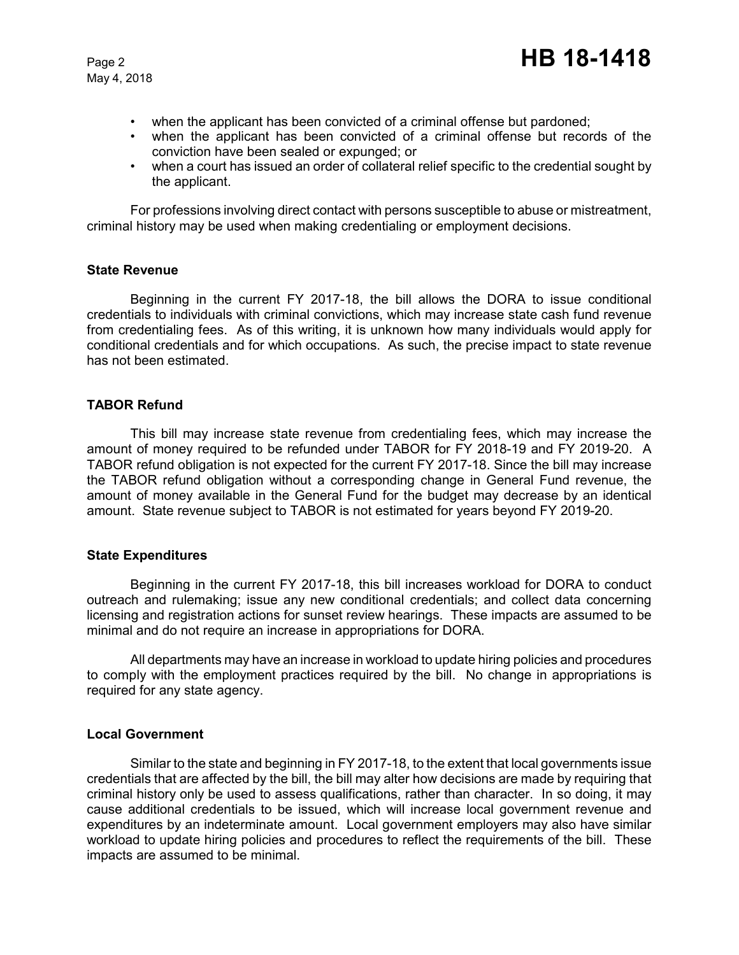May 4, 2018

- when the applicant has been convicted of a criminal offense but pardoned;
- when the applicant has been convicted of a criminal offense but records of the conviction have been sealed or expunged; or
- when a court has issued an order of collateral relief specific to the credential sought by the applicant.

For professions involving direct contact with persons susceptible to abuse or mistreatment, criminal history may be used when making credentialing or employment decisions.

#### **State Revenue**

Beginning in the current FY 2017-18, the bill allows the DORA to issue conditional credentials to individuals with criminal convictions, which may increase state cash fund revenue from credentialing fees. As of this writing, it is unknown how many individuals would apply for conditional credentials and for which occupations. As such, the precise impact to state revenue has not been estimated.

#### **TABOR Refund**

This bill may increase state revenue from credentialing fees, which may increase the amount of money required to be refunded under TABOR for FY 2018-19 and FY 2019-20. A TABOR refund obligation is not expected for the current FY 2017-18. Since the bill may increase the TABOR refund obligation without a corresponding change in General Fund revenue, the amount of money available in the General Fund for the budget may decrease by an identical amount. State revenue subject to TABOR is not estimated for years beyond FY 2019-20.

## **State Expenditures**

Beginning in the current FY 2017-18, this bill increases workload for DORA to conduct outreach and rulemaking; issue any new conditional credentials; and collect data concerning licensing and registration actions for sunset review hearings. These impacts are assumed to be minimal and do not require an increase in appropriations for DORA.

All departments may have an increase in workload to update hiring policies and procedures to comply with the employment practices required by the bill. No change in appropriations is required for any state agency.

## **Local Government**

Similar to the state and beginning in FY 2017-18, to the extent that local governments issue credentials that are affected by the bill, the bill may alter how decisions are made by requiring that criminal history only be used to assess qualifications, rather than character. In so doing, it may cause additional credentials to be issued, which will increase local government revenue and expenditures by an indeterminate amount. Local government employers may also have similar workload to update hiring policies and procedures to reflect the requirements of the bill. These impacts are assumed to be minimal.